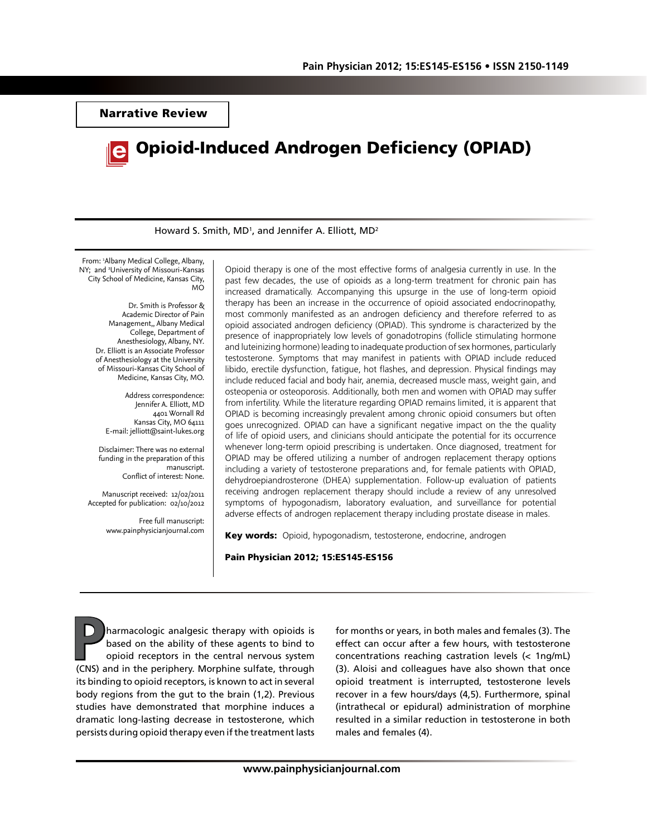Narrative Review



Howard S. Smith, MD<sup>1</sup>, and Jennifer A. Elliott, MD<sup>2</sup>

From: 1 Albany Medical College, Albany, NY; and 2 University of Missouri-Kansas City School of Medicine, Kansas City, MO

> Dr. Smith is Professor & Academic Director of Pain Management,, Albany Medical College, Department of Anesthesiology, Albany, NY. Dr. Elliott is an Associate Professor of Anesthesiology at the University of Missouri-Kansas City School of Medicine, Kansas City, MO.

Address correspondence: Jennifer A. Elliott, MD 4401 Wornall Rd Kansas City, MO 64111 E-mail: jelliott@saint-lukes.org

Disclaimer: There was no external funding in the preparation of this manuscript. Conflict of interest: None.

Manuscript received: 12/02/2011 Accepted for publication: 02/10/2012

> Free full manuscript: www.painphysicianjournal.com

Opioid therapy is one of the most effective forms of analgesia currently in use. In the past few decades, the use of opioids as a long-term treatment for chronic pain has increased dramatically. Accompanying this upsurge in the use of long-term opioid therapy has been an increase in the occurrence of opioid associated endocrinopathy, most commonly manifested as an androgen deficiency and therefore referred to as opioid associated androgen deficiency (OPIAD). This syndrome is characterized by the presence of inappropriately low levels of gonadotropins (follicle stimulating hormone and luteinizing hormone) leading to inadequate production of sex hormones, particularly testosterone. Symptoms that may manifest in patients with OPIAD include reduced libido, erectile dysfunction, fatigue, hot flashes, and depression. Physical findings may include reduced facial and body hair, anemia, decreased muscle mass, weight gain, and osteopenia or osteoporosis. Additionally, both men and women with OPIAD may suffer from infertility. While the literature regarding OPIAD remains limited, it is apparent that OPIAD is becoming increasingly prevalent among chronic opioid consumers but often goes unrecognized. OPIAD can have a significant negative impact on the the quality of life of opioid users, and clinicians should anticipate the potential for its occurrence whenever long-term opioid prescribing is undertaken. Once diagnosed, treatment for OPIAD may be offered utilizing a number of androgen replacement therapy options including a variety of testosterone preparations and, for female patients with OPIAD, dehydroepiandrosterone (DHEA) supplementation. Follow-up evaluation of patients receiving androgen replacement therapy should include a review of any unresolved symptoms of hypogonadism, laboratory evaluation, and surveillance for potential adverse effects of androgen replacement therapy including prostate disease in males.

Key words: Opioid, hypogonadism, testosterone, endocrine, androgen

#### Pain Physician 2012; 15:ES145-ES156

**Pharmacologic analgesic therapy with opioids is<br>based on the ability of these agents to bind to<br>opioid receptors in the central nervous system<br>(CNS) and in the periphery. Morphine sulfate, through** based on the ability of these agents to bind to opioid receptors in the central nervous system (CNS) and in the periphery. Morphine sulfate, through its binding to opioid receptors, is known to act in several body regions from the gut to the brain (1,2). Previous studies have demonstrated that morphine induces a dramatic long-lasting decrease in testosterone, which persists during opioid therapy even if the treatment lasts

for months or years, in both males and females (3). The effect can occur after a few hours, with testosterone concentrations reaching castration levels (< 1ng/mL) (3). Aloisi and colleagues have also shown that once opioid treatment is interrupted, testosterone levels recover in a few hours/days (4,5). Furthermore, spinal (intrathecal or epidural) administration of morphine resulted in a similar reduction in testosterone in both males and females (4).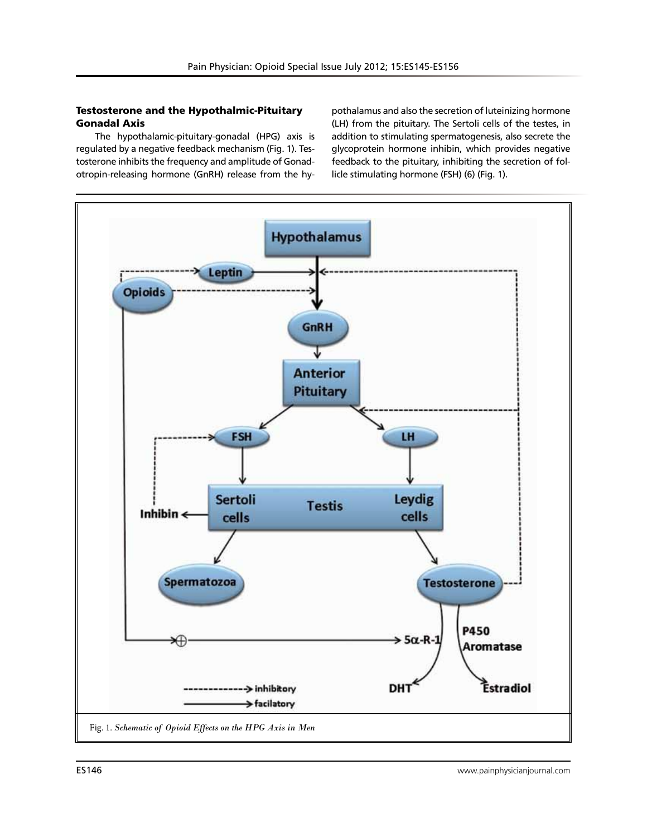# Testosterone and the Hypothalmic-Pituitary Gonadal Axis

The hypothalamic-pituitary-gonadal (HPG) axis is regulated by a negative feedback mechanism (Fig. 1). Testosterone inhibits the frequency and amplitude of Gonadotropin-releasing hormone (GnRH) release from the hypothalamus and also the secretion of luteinizing hormone (LH) from the pituitary. The Sertoli cells of the testes, in addition to stimulating spermatogenesis, also secrete the glycoprotein hormone inhibin, which provides negative feedback to the pituitary, inhibiting the secretion of follicle stimulating hormone (FSH) (6) (Fig. 1).

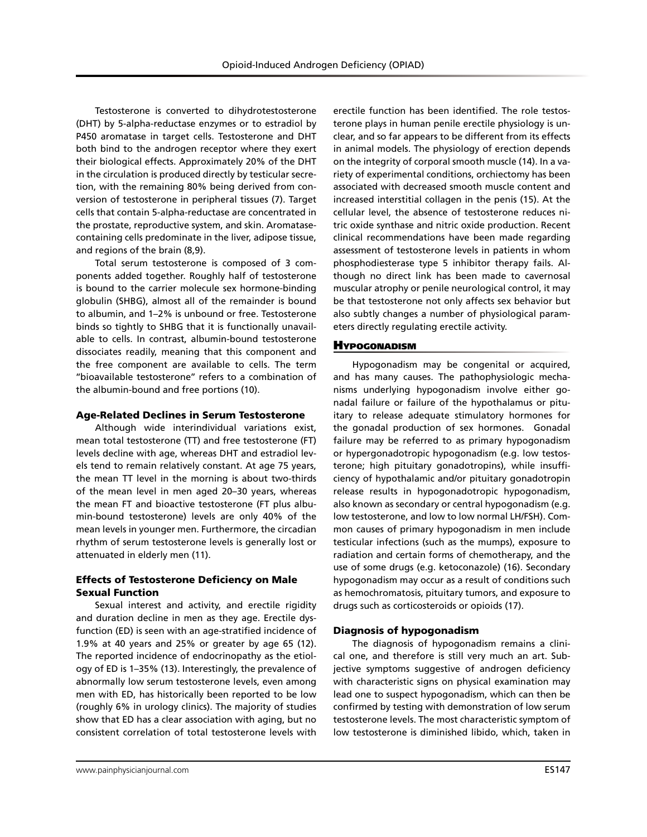Testosterone is converted to dihydrotestosterone (DHT) by 5-alpha-reductase enzymes or to estradiol by P450 aromatase in target cells. Testosterone and DHT both bind to the androgen receptor where they exert their biological effects. Approximately 20% of the DHT in the circulation is produced directly by testicular secretion, with the remaining 80% being derived from conversion of testosterone in peripheral tissues (7). Target cells that contain 5-alpha-reductase are concentrated in the prostate, reproductive system, and skin. Aromatasecontaining cells predominate in the liver, adipose tissue, and regions of the brain (8,9).

Total serum testosterone is composed of 3 components added together. Roughly half of testosterone is bound to the carrier molecule sex hormone-binding globulin (SHBG), almost all of the remainder is bound to albumin, and 1–2% is unbound or free. Testosterone binds so tightly to SHBG that it is functionally unavailable to cells. In contrast, albumin-bound testosterone dissociates readily, meaning that this component and the free component are available to cells. The term ''bioavailable testosterone'' refers to a combination of the albumin-bound and free portions (10).

#### Age-Related Declines in Serum Testosterone

Although wide interindividual variations exist, mean total testosterone (TT) and free testosterone (FT) levels decline with age, whereas DHT and estradiol levels tend to remain relatively constant. At age 75 years, the mean TT level in the morning is about two-thirds of the mean level in men aged 20–30 years, whereas the mean FT and bioactive testosterone (FT plus albumin-bound testosterone) levels are only 40% of the mean levels in younger men. Furthermore, the circadian rhythm of serum testosterone levels is generally lost or attenuated in elderly men (11).

## Effects of Testosterone Deficiency on Male Sexual Function

Sexual interest and activity, and erectile rigidity and duration decline in men as they age. Erectile dysfunction (ED) is seen with an age-stratified incidence of 1.9% at 40 years and 25% or greater by age 65 (12). The reported incidence of endocrinopathy as the etiology of ED is 1–35% (13). Interestingly, the prevalence of abnormally low serum testosterone levels, even among men with ED, has historically been reported to be low (roughly 6% in urology clinics). The majority of studies show that ED has a clear association with aging, but no consistent correlation of total testosterone levels with

erectile function has been identified. The role testosterone plays in human penile erectile physiology is unclear, and so far appears to be different from its effects in animal models. The physiology of erection depends on the integrity of corporal smooth muscle (14). In a variety of experimental conditions, orchiectomy has been associated with decreased smooth muscle content and increased interstitial collagen in the penis (15). At the cellular level, the absence of testosterone reduces nitric oxide synthase and nitric oxide production. Recent clinical recommendations have been made regarding assessment of testosterone levels in patients in whom phosphodiesterase type 5 inhibitor therapy fails. Although no direct link has been made to cavernosal muscular atrophy or penile neurological control, it may be that testosterone not only affects sex behavior but also subtly changes a number of physiological parameters directly regulating erectile activity.

### **H**YPOGONADISM

Hypogonadism may be congenital or acquired, and has many causes. The pathophysiologic mechanisms underlying hypogonadism involve either gonadal failure or failure of the hypothalamus or pituitary to release adequate stimulatory hormones for the gonadal production of sex hormones. Gonadal failure may be referred to as primary hypogonadism or hypergonadotropic hypogonadism (e.g. low testosterone; high pituitary gonadotropins), while insufficiency of hypothalamic and/or pituitary gonadotropin release results in hypogonadotropic hypogonadism, also known as secondary or central hypogonadism (e.g. low testosterone, and low to low normal LH/FSH). Common causes of primary hypogonadism in men include testicular infections (such as the mumps), exposure to radiation and certain forms of chemotherapy, and the use of some drugs (e.g. ketoconazole) (16). Secondary hypogonadism may occur as a result of conditions such as hemochromatosis, pituitary tumors, and exposure to drugs such as corticosteroids or opioids (17).

### Diagnosis of hypogonadism

The diagnosis of hypogonadism remains a clinical one, and therefore is still very much an art. Subjective symptoms suggestive of androgen deficiency with characteristic signs on physical examination may lead one to suspect hypogonadism, which can then be confirmed by testing with demonstration of low serum testosterone levels. The most characteristic symptom of low testosterone is diminished libido, which, taken in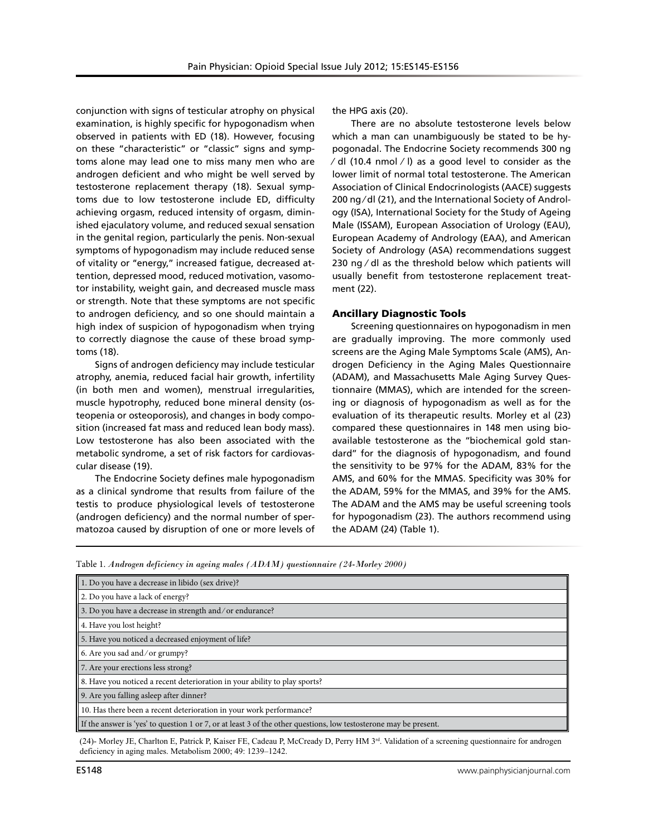conjunction with signs of testicular atrophy on physical examination, is highly specific for hypogonadism when observed in patients with ED (18). However, focusing on these "characteristic" or "classic" signs and symptoms alone may lead one to miss many men who are androgen deficient and who might be well served by testosterone replacement therapy (18). Sexual symptoms due to low testosterone include ED, difficulty achieving orgasm, reduced intensity of orgasm, diminished ejaculatory volume, and reduced sexual sensation in the genital region, particularly the penis. Non-sexual symptoms of hypogonadism may include reduced sense of vitality or ''energy,'' increased fatigue, decreased attention, depressed mood, reduced motivation, vasomotor instability, weight gain, and decreased muscle mass or strength. Note that these symptoms are not specific to androgen deficiency, and so one should maintain a high index of suspicion of hypogonadism when trying to correctly diagnose the cause of these broad symptoms (18).

Signs of androgen deficiency may include testicular atrophy, anemia, reduced facial hair growth, infertility (in both men and women), menstrual irregularities, muscle hypotrophy, reduced bone mineral density (osteopenia or osteoporosis), and changes in body composition (increased fat mass and reduced lean body mass). Low testosterone has also been associated with the metabolic syndrome, a set of risk factors for cardiovascular disease (19).

The Endocrine Society defines male hypogonadism as a clinical syndrome that results from failure of the testis to produce physiological levels of testosterone (androgen deficiency) and the normal number of spermatozoa caused by disruption of one or more levels of the HPG axis (20).

There are no absolute testosterone levels below which a man can unambiguously be stated to be hypogonadal. The Endocrine Society recommends 300 ng ⁄ dl (10.4 nmol ⁄ l) as a good level to consider as the lower limit of normal total testosterone. The American Association of Clinical Endocrinologists (AACE) suggests 200 ng ⁄ dl (21), and the International Society of Andrology (ISA), International Society for the Study of Ageing Male (ISSAM), European Association of Urology (EAU), European Academy of Andrology (EAA), and American Society of Andrology (ASA) recommendations suggest 230 ng ⁄ dl as the threshold below which patients will usually benefit from testosterone replacement treatment (22).

## Ancillary Diagnostic Tools

Screening questionnaires on hypogonadism in men are gradually improving. The more commonly used screens are the Aging Male Symptoms Scale (AMS), Androgen Deficiency in the Aging Males Questionnaire (ADAM), and Massachusetts Male Aging Survey Questionnaire (MMAS), which are intended for the screening or diagnosis of hypogonadism as well as for the evaluation of its therapeutic results. Morley et al (23) compared these questionnaires in 148 men using bioavailable testosterone as the ''biochemical gold standard'' for the diagnosis of hypogonadism, and found the sensitivity to be 97% for the ADAM, 83% for the AMS, and 60% for the MMAS. Specificity was 30% for the ADAM, 59% for the MMAS, and 39% for the AMS. The ADAM and the AMS may be useful screening tools for hypogonadism (23). The authors recommend using the ADAM (24) (Table 1).

|  |  |  |  |  |  |  | Table 1. Androgen deficiency in ageing males (ADAM) questionnaire (24-Morley 2000) |
|--|--|--|--|--|--|--|------------------------------------------------------------------------------------|
|--|--|--|--|--|--|--|------------------------------------------------------------------------------------|

| 1. Do you have a decrease in libido (sex drive)?                                                                  |  |  |  |  |  |
|-------------------------------------------------------------------------------------------------------------------|--|--|--|--|--|
| 2. Do you have a lack of energy?                                                                                  |  |  |  |  |  |
| 3. Do you have a decrease in strength and/or endurance?                                                           |  |  |  |  |  |
| 4. Have you lost height?                                                                                          |  |  |  |  |  |
| 5. Have you noticed a decreased enjoyment of life?                                                                |  |  |  |  |  |
| 6. Are you sad and/or grumpy?                                                                                     |  |  |  |  |  |
| 7. Are your erections less strong?                                                                                |  |  |  |  |  |
| 8. Have you noticed a recent deterioration in your ability to play sports?                                        |  |  |  |  |  |
| 9. Are you falling asleep after dinner?                                                                           |  |  |  |  |  |
| 10. Has there been a recent deterioration in your work performance?                                               |  |  |  |  |  |
| If the answer is 'yes' to question 1 or 7, or at least 3 of the other questions, low testosterone may be present. |  |  |  |  |  |

(24)- Morley JE, Charlton E, Patrick P, Kaiser FE, Cadeau P, McCready D, Perry HM 3rd. Validation of a screening questionnaire for androgen deficiency in aging males. Metabolism 2000; 49: 1239–1242.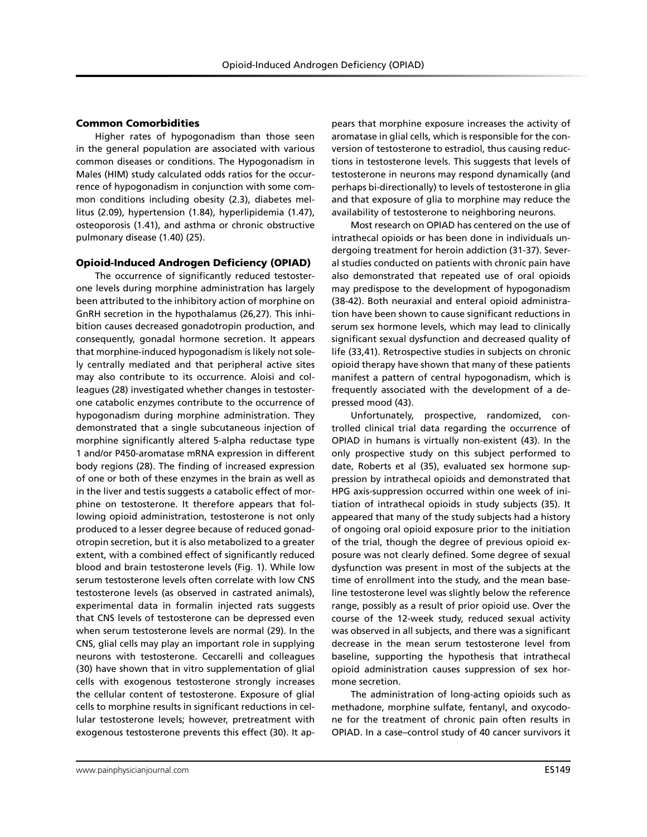#### Common Comorbidities

Higher rates of hypogonadism than those seen in the general population are associated with various common diseases or conditions. The Hypogonadism in Males (HIM) study calculated odds ratios for the occurrence of hypogonadism in conjunction with some common conditions including obesity (2.3), diabetes mellitus (2.09), hypertension (1.84), hyperlipidemia (1.47), osteoporosis (1.41), and asthma or chronic obstructive pulmonary disease (1.40) (25).

#### Opioid-Induced Androgen Deficiency (OPIAD)

The occurrence of significantly reduced testosterone levels during morphine administration has largely been attributed to the inhibitory action of morphine on GnRH secretion in the hypothalamus (26,27). This inhibition causes decreased gonadotropin production, and consequently, gonadal hormone secretion. It appears that morphine-induced hypogonadism is likely not solely centrally mediated and that peripheral active sites may also contribute to its occurrence. Aloisi and colleagues (28) investigated whether changes in testosterone catabolic enzymes contribute to the occurrence of hypogonadism during morphine administration. They demonstrated that a single subcutaneous injection of morphine significantly altered 5-alpha reductase type 1 and/or P450-aromatase mRNA expression in different body regions (28). The finding of increased expression of one or both of these enzymes in the brain as well as in the liver and testis suggests a catabolic effect of morphine on testosterone. It therefore appears that following opioid administration, testosterone is not only produced to a lesser degree because of reduced gonadotropin secretion, but it is also metabolized to a greater extent, with a combined effect of significantly reduced blood and brain testosterone levels (Fig. 1). While low serum testosterone levels often correlate with low CNS testosterone levels (as observed in castrated animals), experimental data in formalin injected rats suggests that CNS levels of testosterone can be depressed even when serum testosterone levels are normal (29). In the CNS, glial cells may play an important role in supplying neurons with testosterone. Ceccarelli and colleagues (30) have shown that in vitro supplementation of glial cells with exogenous testosterone strongly increases the cellular content of testosterone. Exposure of glial cells to morphine results in significant reductions in cellular testosterone levels; however, pretreatment with exogenous testosterone prevents this effect (30). It appears that morphine exposure increases the activity of aromatase in glial cells, which is responsible for the conversion of testosterone to estradiol, thus causing reductions in testosterone levels. This suggests that levels of testosterone in neurons may respond dynamically (and perhaps bi-directionally) to levels of testosterone in glia and that exposure of glia to morphine may reduce the availability of testosterone to neighboring neurons.

Most research on OPIAD has centered on the use of intrathecal opioids or has been done in individuals undergoing treatment for heroin addiction (31-37). Several studies conducted on patients with chronic pain have also demonstrated that repeated use of oral opioids may predispose to the development of hypogonadism (38-42). Both neuraxial and enteral opioid administration have been shown to cause significant reductions in serum sex hormone levels, which may lead to clinically significant sexual dysfunction and decreased quality of life (33,41). Retrospective studies in subjects on chronic opioid therapy have shown that many of these patients manifest a pattern of central hypogonadism, which is frequently associated with the development of a depressed mood (43).

Unfortunately, prospective, randomized, controlled clinical trial data regarding the occurrence of OPIAD in humans is virtually non-existent (43). In the only prospective study on this subject performed to date, Roberts et al (35), evaluated sex hormone suppression by intrathecal opioids and demonstrated that HPG axis-suppression occurred within one week of initiation of intrathecal opioids in study subjects (35). It appeared that many of the study subjects had a history of ongoing oral opioid exposure prior to the initiation of the trial, though the degree of previous opioid exposure was not clearly defined. Some degree of sexual dysfunction was present in most of the subjects at the time of enrollment into the study, and the mean baseline testosterone level was slightly below the reference range, possibly as a result of prior opioid use. Over the course of the 12-week study, reduced sexual activity was observed in all subjects, and there was a significant decrease in the mean serum testosterone level from baseline, supporting the hypothesis that intrathecal opioid administration causes suppression of sex hormone secretion.

The administration of long-acting opioids such as methadone, morphine sulfate, fentanyl, and oxycodone for the treatment of chronic pain often results in OPIAD. In a case–control study of 40 cancer survivors it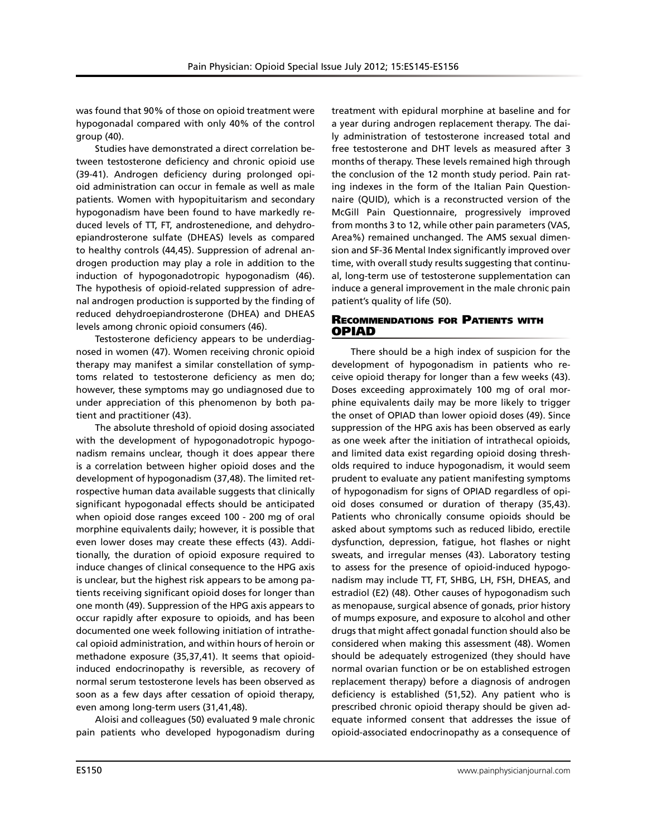was found that 90% of those on opioid treatment were hypogonadal compared with only 40% of the control group (40).

Studies have demonstrated a direct correlation between testosterone deficiency and chronic opioid use (39-41). Androgen deficiency during prolonged opioid administration can occur in female as well as male patients. Women with hypopituitarism and secondary hypogonadism have been found to have markedly reduced levels of TT, FT, androstenedione, and dehydroepiandrosterone sulfate (DHEAS) levels as compared to healthy controls (44,45). Suppression of adrenal androgen production may play a role in addition to the induction of hypogonadotropic hypogonadism (46). The hypothesis of opioid-related suppression of adrenal androgen production is supported by the finding of reduced dehydroepiandrosterone (DHEA) and DHEAS levels among chronic opioid consumers (46).

Testosterone deficiency appears to be underdiagnosed in women (47). Women receiving chronic opioid therapy may manifest a similar constellation of symptoms related to testosterone deficiency as men do; however, these symptoms may go undiagnosed due to under appreciation of this phenomenon by both patient and practitioner (43).

The absolute threshold of opioid dosing associated with the development of hypogonadotropic hypogonadism remains unclear, though it does appear there is a correlation between higher opioid doses and the development of hypogonadism (37,48). The limited retrospective human data available suggests that clinically significant hypogonadal effects should be anticipated when opioid dose ranges exceed 100 - 200 mg of oral morphine equivalents daily; however, it is possible that even lower doses may create these effects (43). Additionally, the duration of opioid exposure required to induce changes of clinical consequence to the HPG axis is unclear, but the highest risk appears to be among patients receiving significant opioid doses for longer than one month (49). Suppression of the HPG axis appears to occur rapidly after exposure to opioids, and has been documented one week following initiation of intrathecal opioid administration, and within hours of heroin or methadone exposure (35,37,41). It seems that opioidinduced endocrinopathy is reversible, as recovery of normal serum testosterone levels has been observed as soon as a few days after cessation of opioid therapy, even among long-term users (31,41,48).

Aloisi and colleagues (50) evaluated 9 male chronic pain patients who developed hypogonadism during

treatment with epidural morphine at baseline and for a year during androgen replacement therapy. The daily administration of testosterone increased total and free testosterone and DHT levels as measured after 3 months of therapy. These levels remained high through the conclusion of the 12 month study period. Pain rating indexes in the form of the Italian Pain Questionnaire (QUID), which is a reconstructed version of the McGill Pain Questionnaire, progressively improved from months 3 to 12, while other pain parameters (VAS, Area%) remained unchanged. The AMS sexual dimension and SF-36 Mental Index significantly improved over time, with overall study results suggesting that continual, long-term use of testosterone supplementation can induce a general improvement in the male chronic pain patient's quality of life (50).

## Recommendations for Patients with OPIAD

There should be a high index of suspicion for the development of hypogonadism in patients who receive opioid therapy for longer than a few weeks (43). Doses exceeding approximately 100 mg of oral morphine equivalents daily may be more likely to trigger the onset of OPIAD than lower opioid doses (49). Since suppression of the HPG axis has been observed as early as one week after the initiation of intrathecal opioids, and limited data exist regarding opioid dosing thresholds required to induce hypogonadism, it would seem prudent to evaluate any patient manifesting symptoms of hypogonadism for signs of OPIAD regardless of opioid doses consumed or duration of therapy (35,43). Patients who chronically consume opioids should be asked about symptoms such as reduced libido, erectile dysfunction, depression, fatigue, hot flashes or night sweats, and irregular menses (43). Laboratory testing to assess for the presence of opioid-induced hypogonadism may include TT, FT, SHBG, LH, FSH, DHEAS, and estradiol (E2) (48). Other causes of hypogonadism such as menopause, surgical absence of gonads, prior history of mumps exposure, and exposure to alcohol and other drugs that might affect gonadal function should also be considered when making this assessment (48). Women should be adequately estrogenized (they should have normal ovarian function or be on established estrogen replacement therapy) before a diagnosis of androgen deficiency is established (51,52). Any patient who is prescribed chronic opioid therapy should be given adequate informed consent that addresses the issue of opioid-associated endocrinopathy as a consequence of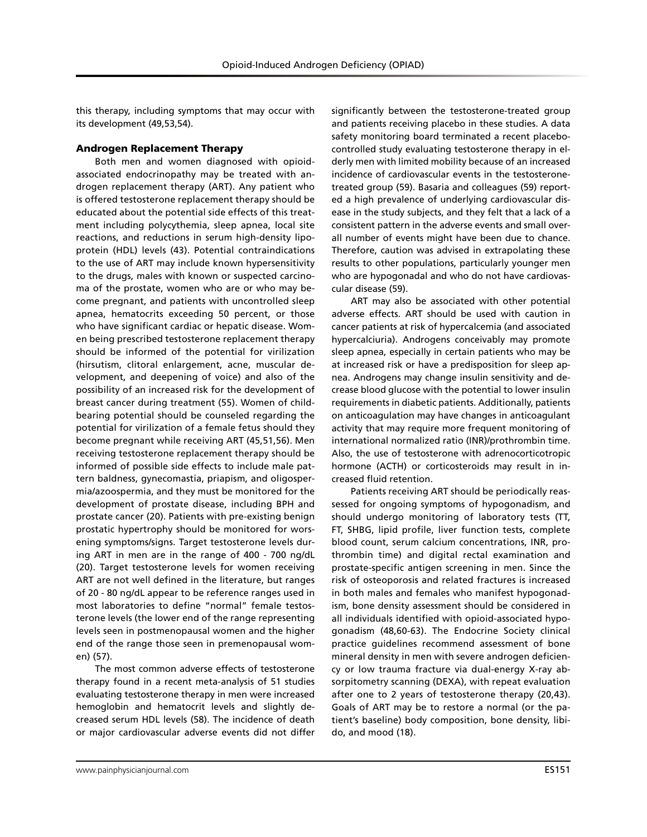this therapy, including symptoms that may occur with its development (49,53,54).

## Androgen Replacement Therapy

Both men and women diagnosed with opioidassociated endocrinopathy may be treated with androgen replacement therapy (ART). Any patient who is offered testosterone replacement therapy should be educated about the potential side effects of this treatment including polycythemia, sleep apnea, local site reactions, and reductions in serum high-density lipoprotein (HDL) levels (43). Potential contraindications to the use of ART may include known hypersensitivity to the drugs, males with known or suspected carcinoma of the prostate, women who are or who may become pregnant, and patients with uncontrolled sleep apnea, hematocrits exceeding 50 percent, or those who have significant cardiac or hepatic disease. Women being prescribed testosterone replacement therapy should be informed of the potential for virilization (hirsutism, clitoral enlargement, acne, muscular development, and deepening of voice) and also of the possibility of an increased risk for the development of breast cancer during treatment (55). Women of childbearing potential should be counseled regarding the potential for virilization of a female fetus should they become pregnant while receiving ART (45,51,56). Men receiving testosterone replacement therapy should be informed of possible side effects to include male pattern baldness, gynecomastia, priapism, and oligospermia/azoospermia, and they must be monitored for the development of prostate disease, including BPH and prostate cancer (20). Patients with pre-existing benign prostatic hypertrophy should be monitored for worsening symptoms/signs. Target testosterone levels during ART in men are in the range of 400 - 700 ng/dL (20). Target testosterone levels for women receiving ART are not well defined in the literature, but ranges of 20 - 80 ng/dL appear to be reference ranges used in most laboratories to define "normal" female testosterone levels (the lower end of the range representing levels seen in postmenopausal women and the higher end of the range those seen in premenopausal women) (57).

The most common adverse effects of testosterone therapy found in a recent meta-analysis of 51 studies evaluating testosterone therapy in men were increased hemoglobin and hematocrit levels and slightly decreased serum HDL levels (58). The incidence of death or major cardiovascular adverse events did not differ

significantly between the testosterone-treated group and patients receiving placebo in these studies. A data safety monitoring board terminated a recent placebocontrolled study evaluating testosterone therapy in elderly men with limited mobility because of an increased incidence of cardiovascular events in the testosteronetreated group (59). Basaria and colleagues (59) reported a high prevalence of underlying cardiovascular disease in the study subjects, and they felt that a lack of a consistent pattern in the adverse events and small overall number of events might have been due to chance. Therefore, caution was advised in extrapolating these results to other populations, particularly younger men who are hypogonadal and who do not have cardiovascular disease (59).

ART may also be associated with other potential adverse effects. ART should be used with caution in cancer patients at risk of hypercalcemia (and associated hypercalciuria). Androgens conceivably may promote sleep apnea, especially in certain patients who may be at increased risk or have a predisposition for sleep apnea. Androgens may change insulin sensitivity and decrease blood glucose with the potential to lower insulin requirements in diabetic patients. Additionally, patients on anticoagulation may have changes in anticoagulant activity that may require more frequent monitoring of international normalized ratio (INR)/prothrombin time. Also, the use of testosterone with adrenocorticotropic hormone (ACTH) or corticosteroids may result in increased fluid retention.

Patients receiving ART should be periodically reassessed for ongoing symptoms of hypogonadism, and should undergo monitoring of laboratory tests (TT, FT, SHBG, lipid profile, liver function tests, complete blood count, serum calcium concentrations, INR, prothrombin time) and digital rectal examination and prostate-specific antigen screening in men. Since the risk of osteoporosis and related fractures is increased in both males and females who manifest hypogonadism, bone density assessment should be considered in all individuals identified with opioid-associated hypogonadism (48,60-63). The Endocrine Society clinical practice guidelines recommend assessment of bone mineral density in men with severe androgen deficiency or low trauma fracture via dual-energy X-ray absorpitometry scanning (DEXA), with repeat evaluation after one to 2 years of testosterone therapy (20,43). Goals of ART may be to restore a normal (or the patient's baseline) body composition, bone density, libido, and mood (18).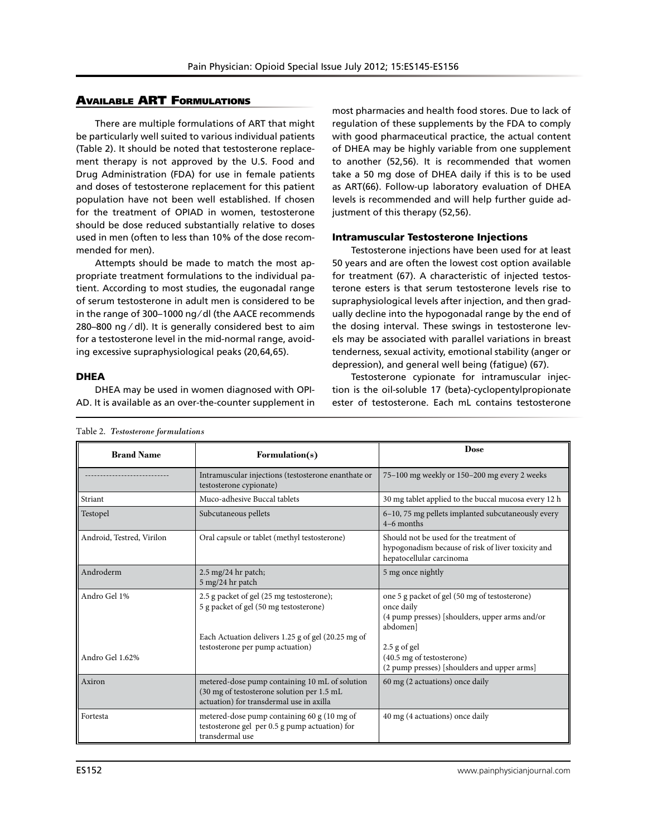# Available ART Formulations

There are multiple formulations of ART that might be particularly well suited to various individual patients (Table 2). It should be noted that testosterone replacement therapy is not approved by the U.S. Food and Drug Administration (FDA) for use in female patients and doses of testosterone replacement for this patient population have not been well established. If chosen for the treatment of OPIAD in women, testosterone should be dose reduced substantially relative to doses used in men (often to less than 10% of the dose recommended for men).

Attempts should be made to match the most appropriate treatment formulations to the individual patient. According to most studies, the eugonadal range of serum testosterone in adult men is considered to be in the range of 300–1000 ng ⁄ dl (the AACE recommends 280–800 ng ⁄ dl). It is generally considered best to aim for a testosterone level in the mid-normal range, avoiding excessive supraphysiological peaks (20,64,65).

**DHEA** 

DHEA may be used in women diagnosed with OPI-AD. It is available as an over-the-counter supplement in

most pharmacies and health food stores. Due to lack of regulation of these supplements by the FDA to comply with good pharmaceutical practice, the actual content of DHEA may be highly variable from one supplement to another (52,56). It is recommended that women take a 50 mg dose of DHEA daily if this is to be used as ART(66). Follow-up laboratory evaluation of DHEA levels is recommended and will help further guide adjustment of this therapy (52,56).

### Intramuscular Testosterone Injections

Testosterone injections have been used for at least 50 years and are often the lowest cost option available for treatment (67). A characteristic of injected testosterone esters is that serum testosterone levels rise to supraphysiological levels after injection, and then gradually decline into the hypogonadal range by the end of the dosing interval. These swings in testosterone levels may be associated with parallel variations in breast tenderness, sexual activity, emotional stability (anger or depression), and general well being (fatigue) (67).

Testosterone cypionate for intramuscular injection is the oil-soluble 17 (beta)-cyclopentylpropionate ester of testosterone. Each mL contains testosterone

| <b>Brand Name</b>         | Formulation(s)                                                                                                                            | <b>Dose</b>                                                                                                               |  |
|---------------------------|-------------------------------------------------------------------------------------------------------------------------------------------|---------------------------------------------------------------------------------------------------------------------------|--|
|                           | Intramuscular injections (testosterone enanthate or<br>testosterone cypionate)                                                            | 75-100 mg weekly or 150-200 mg every 2 weeks                                                                              |  |
| Striant                   | Muco-adhesive Buccal tablets                                                                                                              | 30 mg tablet applied to the buccal mucosa every 12 h                                                                      |  |
| Testopel                  | Subcutaneous pellets                                                                                                                      | 6–10, 75 mg pellets implanted subcutaneously every<br>$4-6$ months                                                        |  |
| Android, Testred, Virilon | Oral capsule or tablet (methyl testosterone)                                                                                              | Should not be used for the treatment of<br>hypogonadism because of risk of liver toxicity and<br>hepatocellular carcinoma |  |
| Androderm                 | $2.5 \text{ mg}/24 \text{ hr}$ patch;<br>5 mg/24 hr patch                                                                                 | 5 mg once nightly                                                                                                         |  |
| Andro Gel 1%              | 2.5 g packet of gel (25 mg testosterone);<br>5 g packet of gel (50 mg testosterone)<br>Each Actuation delivers 1.25 g of gel (20.25 mg of | one 5 g packet of gel (50 mg of testosterone)<br>once daily<br>(4 pump presses) [shoulders, upper arms and/or<br>abdomenl |  |
| Andro Gel 1.62%           | testosterone per pump actuation)                                                                                                          | $2.5$ g of gel<br>(40.5 mg of testosterone)<br>(2 pump presses) [shoulders and upper arms]                                |  |
| Axiron                    | metered-dose pump containing 10 mL of solution<br>(30 mg of testosterone solution per 1.5 mL)<br>actuation) for transdermal use in axilla | 60 mg (2 actuations) once daily                                                                                           |  |
| Fortesta                  | metered-dose pump containing 60 g (10 mg of<br>testosterone gel per 0.5 g pump actuation) for<br>transdermal use                          | 40 mg (4 actuations) once daily                                                                                           |  |

Table 2. *Testosterone formulations*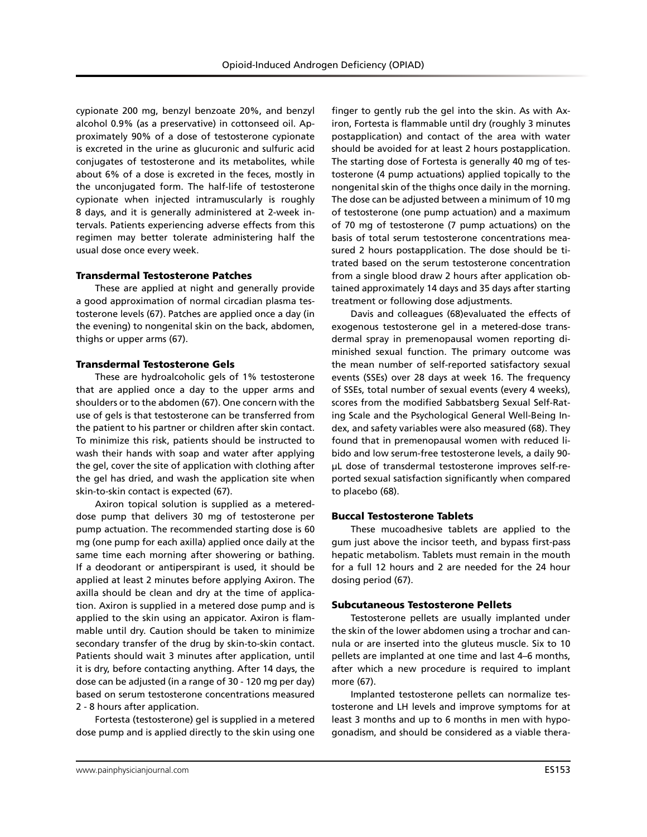cypionate 200 mg, benzyl benzoate 20%, and benzyl alcohol 0.9% (as a preservative) in cottonseed oil. Approximately 90% of a dose of testosterone cypionate is excreted in the urine as glucuronic and sulfuric acid conjugates of testosterone and its metabolites, while about 6% of a dose is excreted in the feces, mostly in the unconjugated form. The half-life of testosterone cypionate when injected intramuscularly is roughly 8 days, and it is generally administered at 2-week intervals. Patients experiencing adverse effects from this regimen may better tolerate administering half the usual dose once every week.

### Transdermal Testosterone Patches

These are applied at night and generally provide a good approximation of normal circadian plasma testosterone levels (67). Patches are applied once a day (in the evening) to nongenital skin on the back, abdomen, thighs or upper arms (67).

#### Transdermal Testosterone Gels

These are hydroalcoholic gels of 1% testosterone that are applied once a day to the upper arms and shoulders or to the abdomen (67). One concern with the use of gels is that testosterone can be transferred from the patient to his partner or children after skin contact. To minimize this risk, patients should be instructed to wash their hands with soap and water after applying the gel, cover the site of application with clothing after the gel has dried, and wash the application site when skin-to-skin contact is expected (67).

Axiron topical solution is supplied as a metereddose pump that delivers 30 mg of testosterone per pump actuation. The recommended starting dose is 60 mg (one pump for each axilla) applied once daily at the same time each morning after showering or bathing. If a deodorant or antiperspirant is used, it should be applied at least 2 minutes before applying Axiron. The axilla should be clean and dry at the time of application. Axiron is supplied in a metered dose pump and is applied to the skin using an appicator. Axiron is flammable until dry. Caution should be taken to minimize secondary transfer of the drug by skin-to-skin contact. Patients should wait 3 minutes after application, until it is dry, before contacting anything. After 14 days, the dose can be adjusted (in a range of 30 - 120 mg per day) based on serum testosterone concentrations measured 2 - 8 hours after application.

Fortesta (testosterone) gel is supplied in a metered dose pump and is applied directly to the skin using one

finger to gently rub the gel into the skin. As with Axiron, Fortesta is flammable until dry (roughly 3 minutes postapplication) and contact of the area with water should be avoided for at least 2 hours postapplication. The starting dose of Fortesta is generally 40 mg of testosterone (4 pump actuations) applied topically to the nongenital skin of the thighs once daily in the morning. The dose can be adjusted between a minimum of 10 mg of testosterone (one pump actuation) and a maximum of 70 mg of testosterone (7 pump actuations) on the basis of total serum testosterone concentrations measured 2 hours postapplication. The dose should be titrated based on the serum testosterone concentration from a single blood draw 2 hours after application obtained approximately 14 days and 35 days after starting treatment or following dose adjustments.

Davis and colleagues (68)evaluated the effects of exogenous testosterone gel in a metered-dose transdermal spray in premenopausal women reporting diminished sexual function. The primary outcome was the mean number of self-reported satisfactory sexual events (SSEs) over 28 days at week 16. The frequency of SSEs, total number of sexual events (every 4 weeks), scores from the modified Sabbatsberg Sexual Self-Rating Scale and the Psychological General Well-Being Index, and safety variables were also measured (68). They found that in premenopausal women with reduced libido and low serum-free testosterone levels, a daily 90 μL dose of transdermal testosterone improves self-reported sexual satisfaction significantly when compared to placebo (68).

### Buccal Testosterone Tablets

These mucoadhesive tablets are applied to the gum just above the incisor teeth, and bypass first-pass hepatic metabolism. Tablets must remain in the mouth for a full 12 hours and 2 are needed for the 24 hour dosing period (67).

#### Subcutaneous Testosterone Pellets

Testosterone pellets are usually implanted under the skin of the lower abdomen using a trochar and cannula or are inserted into the gluteus muscle. Six to 10 pellets are implanted at one time and last 4–6 months, after which a new procedure is required to implant more (67).

Implanted testosterone pellets can normalize testosterone and LH levels and improve symptoms for at least 3 months and up to 6 months in men with hypogonadism, and should be considered as a viable thera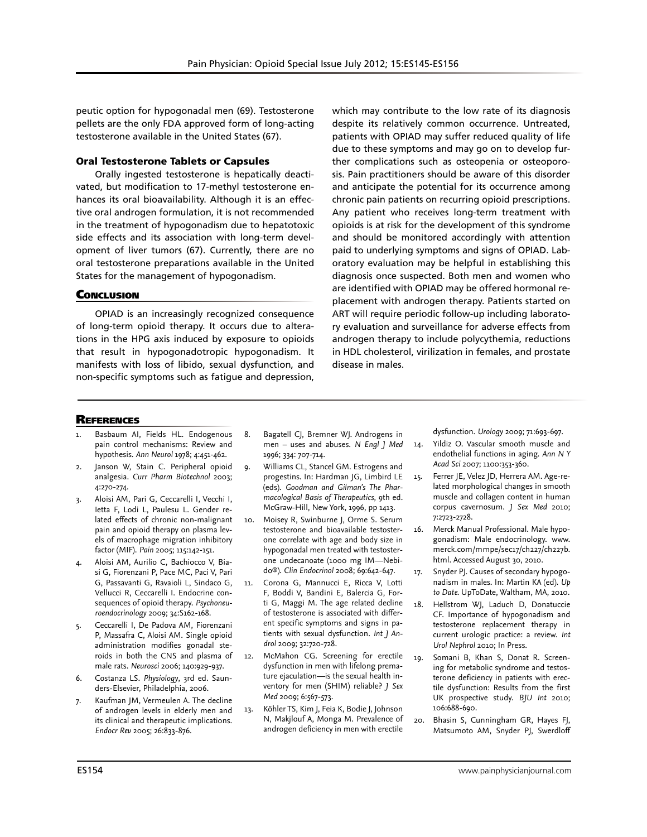peutic option for hypogonadal men (69). Testosterone pellets are the only FDA approved form of long-acting testosterone available in the United States (67).

## Oral Testosterone Tablets or Capsules

Orally ingested testosterone is hepatically deactivated, but modification to 17-methyl testosterone enhances its oral bioavailability. Although it is an effective oral androgen formulation, it is not recommended in the treatment of hypogonadism due to hepatotoxic side effects and its association with long-term development of liver tumors (67). Currently, there are no oral testosterone preparations available in the United States for the management of hypogonadism.

## **CONCLUSION**

OPIAD is an increasingly recognized consequence of long-term opioid therapy. It occurs due to alterations in the HPG axis induced by exposure to opioids that result in hypogonadotropic hypogonadism. It manifests with loss of libido, sexual dysfunction, and non-specific symptoms such as fatigue and depression,

which may contribute to the low rate of its diagnosis despite its relatively common occurrence. Untreated, patients with OPIAD may suffer reduced quality of life due to these symptoms and may go on to develop further complications such as osteopenia or osteoporosis. Pain practitioners should be aware of this disorder and anticipate the potential for its occurrence among chronic pain patients on recurring opioid prescriptions. Any patient who receives long-term treatment with opioids is at risk for the development of this syndrome and should be monitored accordingly with attention paid to underlying symptoms and signs of OPIAD. Laboratory evaluation may be helpful in establishing this diagnosis once suspected. Both men and women who are identified with OPIAD may be offered hormonal replacement with androgen therapy. Patients started on ART will require periodic follow-up including laboratory evaluation and surveillance for adverse effects from androgen therapy to include polycythemia, reductions in HDL cholesterol, virilization in females, and prostate disease in males.

## **REFERENCES**

- Basbaum AI, Fields HL. Endogenous pain control mechanisms: Review and hypothesis. *Ann Neurol* 1978; 4:451-462.
- 2. Janson W, Stain C. Peripheral opioid analgesia. *Curr Pharm Biotechnol* 2003; 4:270-274.
- 3. Aloisi AM, Pari G, Ceccarelli I, Vecchi I, Ietta F, Lodi L, Paulesu L. Gender related effects of chronic non-malignant pain and opioid therapy on plasma levels of macrophage migration inhibitory factor (MIF). *Pain* 2005; 115:142-151.
- 4. Aloisi AM, Aurilio C, Bachiocco V, Biasi G, Fiorenzani P, Pace MC, Paci V, Pari G, Passavanti G, Ravaioli L, Sindaco G, Vellucci R, Ceccarelli I. Endocrine consequences of opioid therapy. *Psychoneuroendocrinology* 2009; 34:S162-168.
- 5. Ceccarelli I, De Padova AM, Fiorenzani P, Massafra C, Aloisi AM. Single opioid administration modifies gonadal steroids in both the CNS and plasma of male rats. *Neurosci* 2006; 140:929-937.
- 6. Costanza LS. *Physiology*, 3rd ed. Saunders-Elsevier, Philadelphia, 2006.
- 7. Kaufman JM, Vermeulen A. The decline of androgen levels in elderly men and its clinical and therapeutic implications. *Endocr Rev* 2005; 26:833-876.
- 8. Bagatell CJ, Bremner WJ. Androgens in men – uses and abuses. *N Engl J Med* 1996; 334: 707-714.
- 9. Williams CL, Stancel GM. Estrogens and progestins. In: Hardman JG, Limbird LE (eds). *Goodman and Gilman's The Pharmacological Basis of Therapeutics*, 9th ed*.* McGraw-Hill, New York, 1996, pp 1413.
- 10. Moisey R, Swinburne J, Orme S. Serum testosterone and bioavailable testosterone correlate with age and body size in hypogonadal men treated with testosterone undecanoate (1000 mg IM—Nebido®). *Clin Endocrinol* 2008; 69:642-647.
- 11. Corona G, Mannucci E, Ricca V, Lotti F, Boddi V, Bandini E, Balercia G, Forti G, Maggi M. The age related decline of testosterone is associated with different specific symptoms and signs in patients with sexual dysfunction. *Int J Androl* 2009; 32:720-728.
- 12. McMahon CG. Screening for erectile dysfunction in men with lifelong premature ejaculation—is the sexual health inventory for men (SHIM) reliable? *J Sex Med* 2009; 6:567-573.
- 13. Köhler TS, Kim J, Feia K, Bodie J, Johnson N, Makjlouf A, Monga M. Prevalence of androgen deficiency in men with erectile

dysfunction. *Urology* 2009; 71:693-697.

- 14. Yildiz O. Vascular smooth muscle and endothelial functions in aging. *Ann N Y Acad Sci* 2007; 1100:353-360.
- 15. Ferrer JE, Velez JD, Herrera AM. Age-related morphological changes in smooth muscle and collagen content in human corpus cavernosum. *J Sex Med* 2010; 7:2723-2728.
- 16. Merck Manual Professional. Male hypogonadism: Male endocrinology. www. merck.com/mmpe/sec17/ch227/ch227b. html. Accessed August 30, 2010.
- 17. Snyder PJ. Causes of secondary hypogonadism in males. In: Martin KA (ed). *Up to Date.* UpToDate, Waltham, MA, 2010.
- 18. Hellstrom WJ, Laduch D, Donatuccie CF. Importance of hypogonadism and testosterone replacement therapy in current urologic practice: a review. *Int Urol Nephrol* 2010; In Press.
- 19. Somani B, Khan S, Donat R. Screening for metabolic syndrome and testosterone deficiency in patients with erectile dysfunction: Results from the first UK prospective study. *BJU Int* 2010; 106:688-690.
- 20. Bhasin S, Cunningham GR, Hayes FJ, Matsumoto AM, Snyder PJ, Swerdloff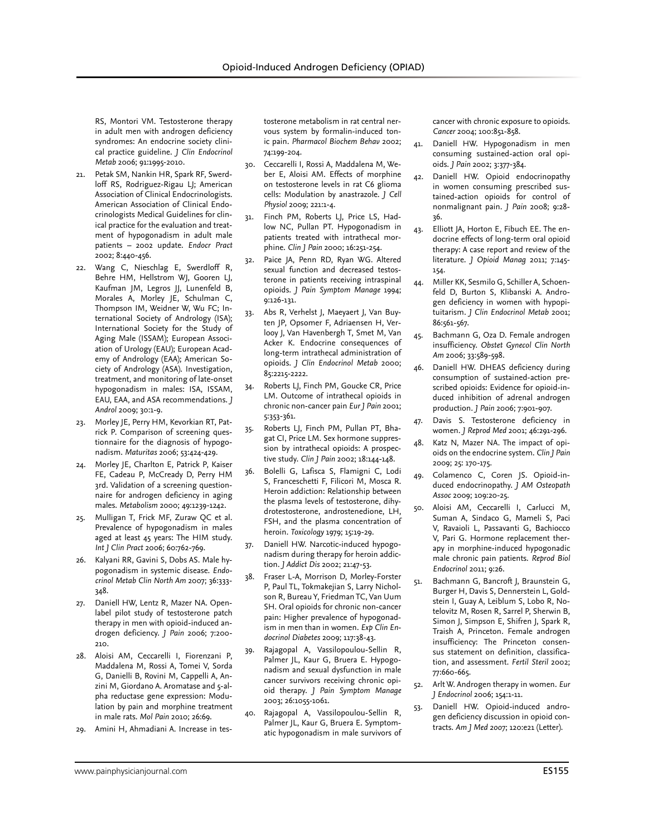RS, Montori VM. Testosterone therapy in adult men with androgen deficiency syndromes: An endocrine society clinical practice guideline. *J Clin Endocrinol Metab* 2006; 91:1995-2010.

- 21. Petak SM, Nankin HR, Spark RF, Swerdloff RS, Rodriguez-Rigau LJ; American Association of Clinical Endocrinologists. American Association of Clinical Endocrinologists Medical Guidelines for clinical practice for the evaluation and treatment of hypogonadism in adult male patients – 2002 update. *Endocr Pract* 2002; 8:440-456.
- 22. Wang C, Nieschlag E, Swerdloff R, Behre HM, Hellstrom WJ, Gooren LJ, Kaufman JM, Legros JJ, Lunenfeld B, Morales A, Morley JE, Schulman C, Thompson IM, Weidner W, Wu FC; International Society of Andrology (ISA); International Society for the Study of Aging Male (ISSAM); European Association of Urology (EAU); European Academy of Andrology (EAA); American Society of Andrology (ASA). Investigation, treatment, and monitoring of late-onset hypogonadism in males: ISA, ISSAM, EAU, EAA, and ASA recommendations. *J Androl* 2009; 30:1-9.
- 23. Morley JE, Perry HM, Kevorkian RT, Patrick P. Comparison of screening questionnaire for the diagnosis of hypogonadism. *Maturitas* 2006; 53:424-429.
- 24. Morley JE, Charlton E, Patrick P, Kaiser FE, Cadeau P, McCready D, Perry HM 3rd. Validation of a screening questionnaire for androgen deficiency in aging males. *Metabolism* 2000; 49:1239-1242.
- 25. Mulligan T, Frick MF, Zuraw QC et al. Prevalence of hypogonadism in males aged at least 45 years: The HIM study. *Int J Clin Pract* 2006; 60:762-769.
- 26. Kalyani RR, Gavini S, Dobs AS. Male hypogonadism in systemic disease. *Endocrinol Metab Clin North Am* 2007; 36:333- 348.
- 27. Daniell HW, Lentz R, Mazer NA. Openlabel pilot study of testosterone patch therapy in men with opioid-induced androgen deficiency. *J Pain* 2006; 7:200- 210.
- 28. Aloisi AM, Ceccarelli I, Fiorenzani P, Maddalena M, Rossi A, Tomei V, Sorda G, Danielli B, Rovini M, Cappelli A, Anzini M, Giordano A. Aromatase and 5-alpha reductase gene expression: Modulation by pain and morphine treatment in male rats. *Mol Pain* 2010; 26:69.
- 29. Amini H, Ahmadiani A. Increase in tes-

tosterone metabolism in rat central nervous system by formalin-induced tonic pain. *Pharmacol Biochem Behav* 2002; 74:199-204.

- 30. Ceccarelli I, Rossi A, Maddalena M, Weber E, Aloisi AM. Effects of morphine on testosterone levels in rat C6 glioma cells: Modulation by anastrazole. *J Cell Physiol* 2009; 221:1-4.
- 31. Finch PM, Roberts LJ, Price LS, Hadlow NC, Pullan PT. Hypogonadism in patients treated with intrathecal morphine. *Clin J Pain* 2000; 16:251-254.
- Paice JA, Penn RD, Ryan WG. Altered sexual function and decreased testosterone in patients receiving intraspinal opioids. *J Pain Symptom Manage* 1994; 9:126-131.
- 33. Abs R, Verhelst J, Maeyaert J, Van Buyten JP, Opsomer F, Adriaensen H, Verlooy J, Van Havenbergh T, Smet M, Van Acker K. Endocrine consequences of long-term intrathecal administration of opioids. *J Clin Endocrinol Metab* 2000; 85:2215-2222.
- 34. Roberts LJ, Finch PM, Goucke CR, Price LM. Outcome of intrathecal opioids in chronic non-cancer pain *Eur J Pain* 2001; 5:353-361.
- 35. Roberts LJ, Finch PM, Pullan PT, Bhagat CI, Price LM. Sex hormone suppression by intrathecal opioids: A prospective study. *Clin J Pain* 2002; 18:144-148.
- 36. Bolelli G, Lafisca S, Flamigni C, Lodi S, Franceschetti F, Filicori M, Mosca R. Heroin addiction: Relationship between the plasma levels of testosterone, dihydrotestosterone, androstenedione, LH, FSH, and the plasma concentration of heroin. *Toxicology* 1979; 15:19-29.
- 37. Daniell HW. Narcotic-induced hypogonadism during therapy for heroin addiction. *J Addict Dis* 2002; 21:47-53.
- 38. Fraser L-A, Morrison D, Morley-Forster P, Paul TL, Tokmakejian S, Larry Nicholson R, Bureau Y, Friedman TC, Van Uum SH. Oral opioids for chronic non-cancer pain: Higher prevalence of hypogonadism in men than in women. *Exp Clin Endocrinol Diabetes* 2009; 117:38-43.
- 39. Rajagopal A, Vassilopoulou-Sellin R, Palmer JL, Kaur G, Bruera E. Hypogonadism and sexual dysfunction in male cancer survivors receiving chronic opioid therapy. *J Pain Symptom Manage* 2003; 26:1055-1061.
- 40. Rajagopal A, Vassilopoulou-Sellin R, Palmer JL, Kaur G, Bruera E. Symptomatic hypogonadism in male survivors of

cancer with chronic exposure to opioids. *Cancer* 2004; 100:851-858.

- 41. Daniell HW. Hypogonadism in men consuming sustained-action oral opioids. *J Pain* 2002; 3:377-384.
- 42. Daniell HW. Opioid endocrinopathy in women consuming prescribed sustained-action opioids for control of nonmalignant pain. *J Pain* 2008; 9:28- 36.
- 43. Elliott JA, Horton E, Fibuch EE. The endocrine effects of long-term oral opioid therapy: A case report and review of the literature. *J Opioid Manag* 2011; 7:145- 154.
- 44. Miller KK, Sesmilo G, Schiller A, Schoenfeld D, Burton S, Klibanski A. Androgen deficiency in women with hypopituitarism. *J Clin Endocrinol Metab* 2001; 86:561-567.
- 45. Bachmann G, Oza D. Female androgen insufficiency. *Obstet Gynecol Clin North Am* 2006; 33:589-598.
- Daniell HW. DHEAS deficiency during consumption of sustained-action prescribed opioids: Evidence for opioid-induced inhibition of adrenal androgen production. *J Pain* 2006; 7:901-907.
- 47. Davis S. Testosterone deficiency in women. *J Reprod Med* 2001; 46:291-296.
- 48. Katz N, Mazer NA. The impact of opioids on the endocrine system. *Clin J Pain* 2009; 25: 170-175.
- 49. Colamenco C, Coren JS. Opioid-induced endocrinopathy. *J AM Osteopath Assoc* 2009; 109:20-25.
- 50. Aloisi AM, Ceccarelli I, Carlucci M, Suman A, Sindaco G, Mameli S, Paci V, Ravaioli L, Passavanti G, Bachiocco V, Pari G. Hormone replacement therapy in morphine-induced hypogonadic male chronic pain patients. *Reprod Biol Endocrinol* 2011; 9:26.
- 51. Bachmann G, Bancroft J, Braunstein G, Burger H, Davis S, Dennerstein L, Goldstein I, Guay A, Leiblum S, Lobo R, Notelovitz M, Rosen R, Sarrel P, Sherwin B, Simon J, Simpson E, Shifren J, Spark R, Traish A, Princeton. Female androgen insufficiency: The Princeton consensus statement on definition, classification, and assessment. *Fertil Steril* 2002; 77:660-665.
- 52. Arlt W. Androgen therapy in women. *Eur J Endocrinol* 2006; 154:1-11.
- 53. Daniell HW. Opioid-induced androgen deficiency discussion in opioid contracts. *Am J Med 2007*; 120:e21 (Letter).